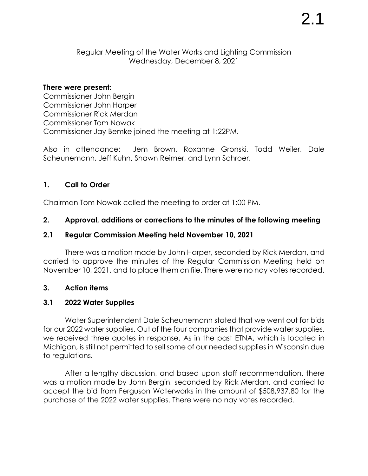Regular Meeting of the Water Works and Lighting Commission Wednesday, December 8, 2021

#### **There were present:**

Commissioner John Bergin Commissioner John Harper Commissioner Rick Merdan Commissioner Tom Nowak Commissioner Jay Bemke joined the meeting at 1:22PM.

Also in attendance: Jem Brown, Roxanne Gronski, Todd Weiler, Dale Scheunemann, Jeff Kuhn, Shawn Reimer, and Lynn Schroer.

## **1. Call to Order**

Chairman Tom Nowak called the meeting to order at 1:00 PM.

## **2. Approval, additions or corrections to the minutes of the following meeting**

## **2.1 Regular Commission Meeting held November 10, 2021**

There was a motion made by John Harper, seconded by Rick Merdan, and carried to approve the minutes of the Regular Commission Meeting held on November 10, 2021, and to place them on file. There were no nay votes recorded.

## **3. Action items**

# **3.1 2022 Water Supplies**

Water Superintendent Dale Scheunemann stated that we went out for bids for our 2022 water supplies. Out of the four companies that provide water supplies, we received three quotes in response. As in the past ETNA, which is located in Michigan, is still not permitted to sell some of our needed supplies in Wisconsin due to regulations.

After a lengthy discussion, and based upon staff recommendation, there was a motion made by John Bergin, seconded by Rick Merdan, and carried to accept the bid from Ferguson Waterworks in the amount of \$508,937.80 for the purchase of the 2022 water supplies. There were no nay votes recorded.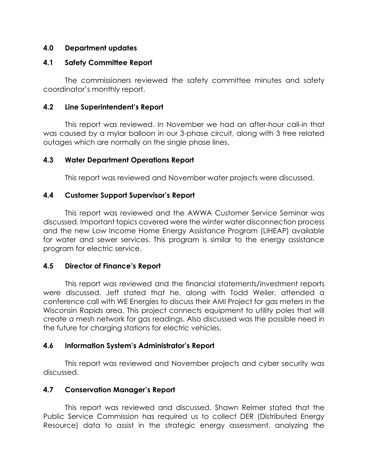### **4.0 Department updates**

#### **4.1 Safety Committee Report**

The commissioners reviewed the safety committee minutes and safety coordinator's monthly report.

#### **4.2 Line Superintendent's Report**

This report was reviewed. In November we had an after-hour call-in that was caused by a mylar balloon in our 3-phase circuit, along with 3 tree related outages which are normally on the single phase lines.

#### **4.3 Water Department Operations Report**

This report was reviewed and November water projects were discussed.

#### **4.4 Customer Support Supervisor's Report**

This report was reviewed and the AWWA Customer Service Seminar was discussed. Important topics covered were the winter water disconnection process and the new Low Income Home Energy Assistance Program (LIHEAP) available for water and sewer services. This program is similar to the energy assistance program for electric service.

#### **4.5 Director of Finance's Report**

This report was reviewed and the financial statements/investment reports were discussed. Jeff stated that he, along with Todd Weiler, attended a conference call with WE Energies to discuss their AMI Project for gas meters in the Wisconsin Rapids area. This project connects equipment to utility poles that will create a mesh network for gas readings. Also discussed was the possible need in the future for charging stations for electric vehicles.

## **4.6 Information System's Administrator's Report**

This report was reviewed and November projects and cyber security was discussed.

## **4.7 Conservation Manager's Report**

This report was reviewed and discussed. Shawn Reimer stated that the Public Service Commission has required us to collect DER (Distributed Energy Resource) data to assist in the strategic energy assessment, analyzing the